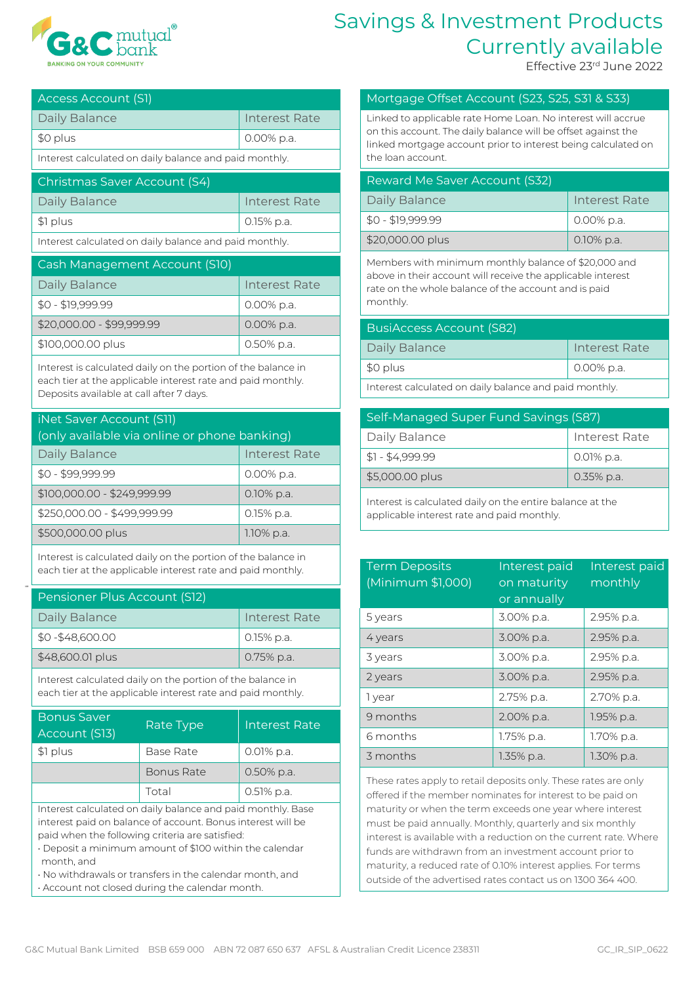

## Savings & Investment Products Currently available

Effective 23rd June 2022

| Access Account (S1)                                    |                      |  |
|--------------------------------------------------------|----------------------|--|
| Daily Balance                                          | <b>Interest Rate</b> |  |
| \$0 plus                                               | $0.00\%$ p.a.        |  |
| Interest calculated on daily balance and paid monthly. |                      |  |
| Christmas Saver Account (S4)                           |                      |  |
| Daily Balance                                          | <b>Interest Rate</b> |  |
| \$1 plus                                               | 0.15% p.a.           |  |
| Interest calculated on daily balance and paid monthly. |                      |  |
| Cash Management Account (S10)                          |                      |  |
| Daily Balance                                          | <b>Interest Rate</b> |  |
| $$0 - $19.999.99$                                      | 0.00% p.a.           |  |

\$0 - \$19,999.99 0.00% p.a.  $$20,000.00 - $99,999.99$  0.00% p.a. \$100,000,00 plus 0.50% p.a.

Interest is calculated daily on the portion of the balance in each tier at the applicable interest rate and paid monthly. Deposits available at call after 7 days.

| <b>iNet Saver Account (S11)</b><br>(only available via online or phone banking) |                      |  |
|---------------------------------------------------------------------------------|----------------------|--|
| <b>Daily Balance</b>                                                            | <b>Interest Rate</b> |  |
| $$0 - $99,999.99$                                                               | 0.00% p.a.           |  |
| \$100,000.00 - \$249,999.99                                                     | 0.10% p.a.           |  |
| \$250,000.00 - \$499,999.99                                                     | 0.15% p.a.           |  |
| \$500,000.00 plus                                                               | 1.10% p.a.           |  |

Interest is calculated daily on the portion of the balance in each tier at the applicable interest rate and paid monthly.

100

| Pensioner Plus Account (S12) |               |  |
|------------------------------|---------------|--|
| Daily Balance                | Interest Rate |  |
| $$0 - $48,600.00$            | 0.15% p.a.    |  |
| \$48,600.01 plus             | 0.75% p.a.    |  |

Interest calculated daily on the portion of the balance in each tier at the applicable interest rate and paid monthly.

| <b>Bonus Saver</b><br>Account (S13) | <b>Rate Type</b>  | <b>Interest Rate</b> |
|-------------------------------------|-------------------|----------------------|
| \$1 plus                            | Base Rate         | 0.01% p.a.           |
|                                     | <b>Bonus Rate</b> | 0.50% p.a.           |
|                                     | Total             | $0.51\%$ p.a.        |
|                                     | $\mathbf{r}$      | $\cdots$             |

Interest calculated on daily balance and paid monthly. Base interest paid on balance of account. Bonus interest will be paid when the following criteria are satisfied:

• Deposit a minimum amount of \$100 within the calendar month, and

• No withdrawals or transfers in the calendar month, and

• Account not closed during the calendar month.

## Mortgage Offset Account (S23, S25, S31 & S33)

Linked to applicable rate Home Loan. No interest will accrue on this account. The daily balance will be offset against the linked mortgage account prior to interest being calculated on the loan account.

| Reward Me Saver Account (S32) |               |  |
|-------------------------------|---------------|--|
| Daily Balance                 | Interest Rate |  |
| $$0 - $19,999.99$             | 0.00% p.a.    |  |
| \$20,000.00 plus              | $0.10\%$ p.a. |  |

Members with minimum monthly balance of \$20,000 and above in their account will receive the applicable interest rate on the whole balance of the account and is paid monthly.

| BusiAccess Account (S82)                              |               |
|-------------------------------------------------------|---------------|
| Daily Balance                                         | Interest Rate |
| \$0 plus                                              | 0.00% p.a.    |
| Interest calculated on daily balance and paid monthly |               |

Interest calculated on daily balance and paid monthly.

| Self-Managed Super Fund Savings (S87) |               |  |
|---------------------------------------|---------------|--|
| Daily Balance                         | Interest Rate |  |
| $$1 - $4,999.99$                      | 0.01% p.a.    |  |
| \$5,000.00 plus                       | 0.35% p.a.    |  |

Interest is calculated daily on the entire balance at the applicable interest rate and paid monthly.

| <b>Term Deposits</b><br>(Minimum \$1,000) | Interest paid<br>on maturity<br>or annually | Interest paid<br>monthly |
|-------------------------------------------|---------------------------------------------|--------------------------|
| 5 years                                   | 3.00% p.a.                                  | 2.95% p.a.               |
| 4 years                                   | 3.00% p.a.                                  | 2.95% p.a.               |
| 3 years                                   | 3.00% p.a.                                  | 2.95% p.a.               |
| 2 years                                   | 3.00% p.a.                                  | 2.95% p.a.               |
| 1 year                                    | 2.75% p.a.                                  | 2.70% p.a.               |
| 9 months                                  | 2.00% p.a.                                  | 1.95% p.a.               |
| 6 months                                  | 1.75% p.a.                                  | 1.70% p.a.               |
| 3 months                                  | 1.35% p.a.                                  | 1.30% p.a.               |

These rates apply to retail deposits only. These rates are only offered if the member nominates for interest to be paid on maturity or when the term exceeds one year where interest must be paid annually. Monthly, quarterly and six monthly interest is available with a reduction on the current rate. Where funds are withdrawn from an investment account prior to maturity, a reduced rate of 0.10% interest applies. For terms outside of the advertised rates contact us on 1300 364 400.